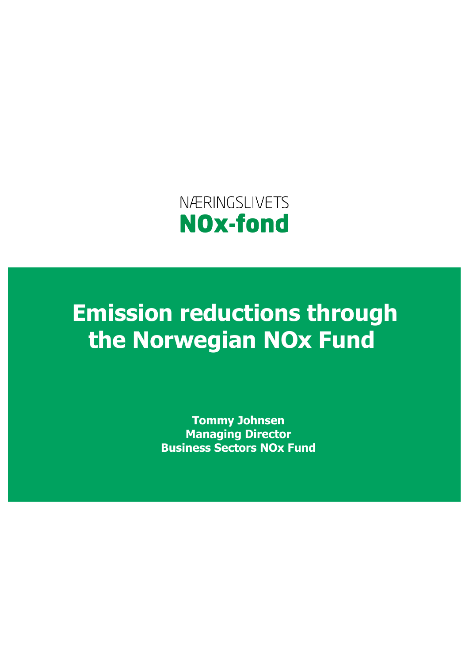

**Emission reductions through the Norwegian NOx Fund** 

> **Tommy Johnsen Managing Director Business Sectors NOx Fund**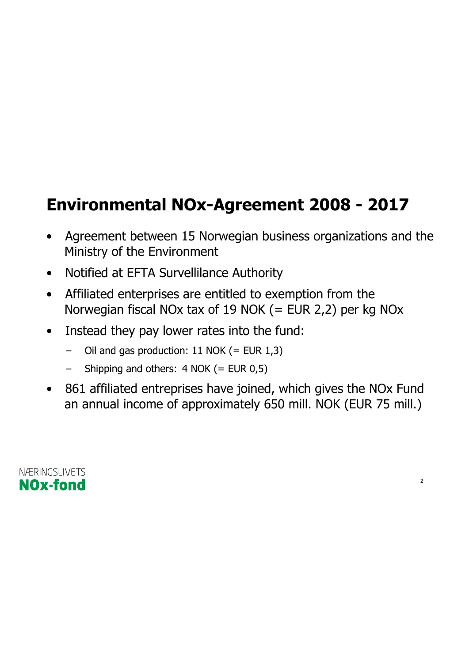#### **Environmental NOx-Agreement 2008 - 2017**

- Agreement between 15 Norwegian business organizations and the Ministry of the Environment
- Notified at EFTA Survellilance Authority
- Affiliated enterprises are entitled to exemption from the Norwegian fiscal NOx tax of 19 NOK (= EUR 2,2) per kg NOx
- Instead they pay lower rates into the fund:
	- Oil and gas production: 11 NOK (= EUR  $1,3$ )
	- Shipping and others:  $4$  NOK (= EUR 0,5)
- 861 affiliated entreprises have joined, which gives the NOx Fund an annual income of approximately 650 mill. NOK (EUR 75 mill.)

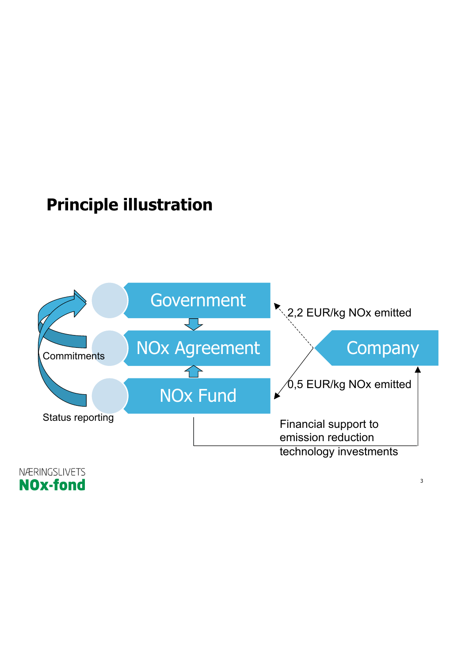#### **Principle illustration**



NÆRINGSLIVETS **NOx-fond**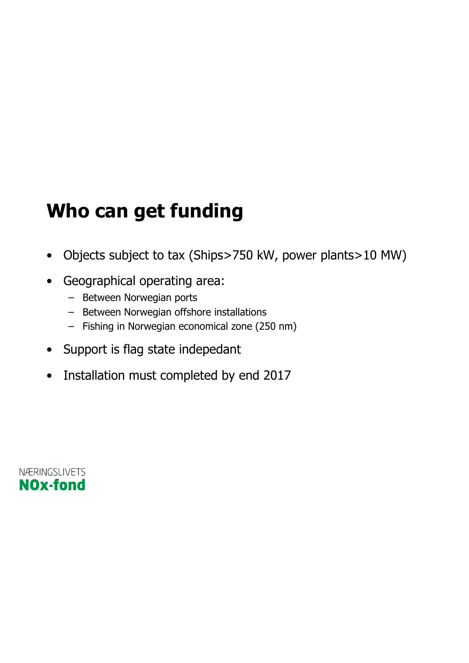### **Who can get funding**

- Objects subject to tax (Ships>750 kW, power plants>10 MW)
- Geographical operating area:
	- Between Norwegian ports
	- Between Norwegian offshore installations
	- Fishing in Norwegian economical zone (250 nm)
- Support is flag state indepedant
- Installation must completed by end 2017

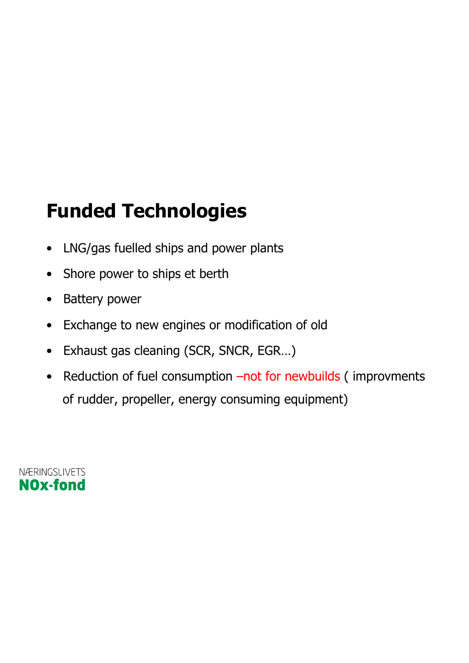### **Funded Technologies**

- LNG/gas fuelled ships and power plants
- Shore power to ships et berth
- Battery power
- Exchange to new engines or modification of old
- Exhaust gas cleaning (SCR, SNCR, EGR…)
- Reduction of fuel consumption –not for newbuilds (improvments of rudder, propeller, energy consuming equipment)

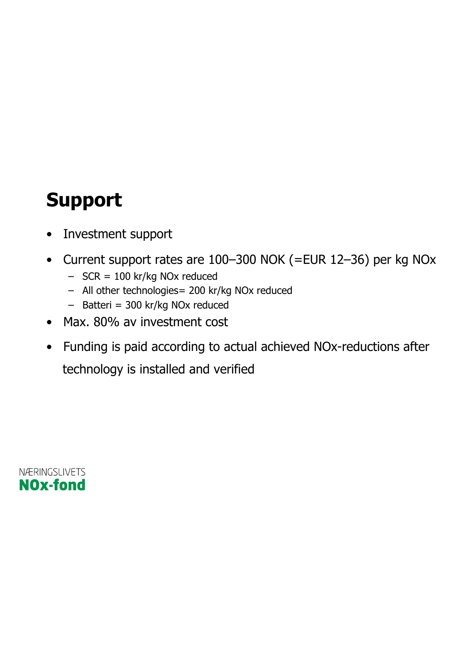### **Support**

- Investment support
- Current support rates are 100–300 NOK (=EUR 12–36) per kg NOx
	- $-$  SCR = 100 kr/kg NOx reduced
	- All other technologies= 200 kr/kg NOx reduced
	- Batteri = 300 kr/kg NOx reduced
- Max. 80% av investment cost
- Funding is paid according to actual achieved NOx-reductions after technology is installed and verified

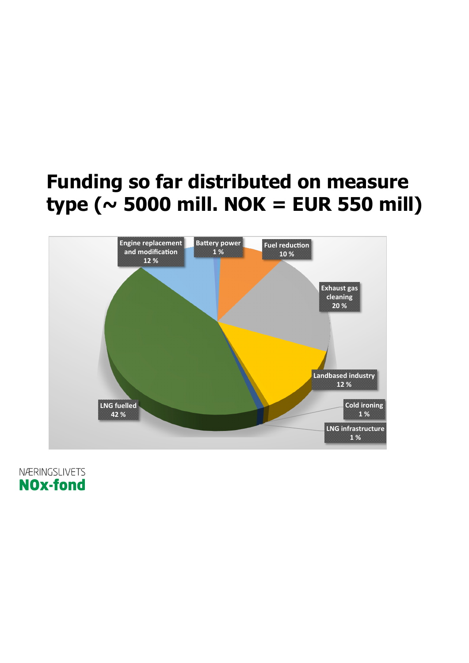#### **Funding so far distributed on measure**  $type ( $\sim$  5000 mill. NOK = EUR 550 mill)$



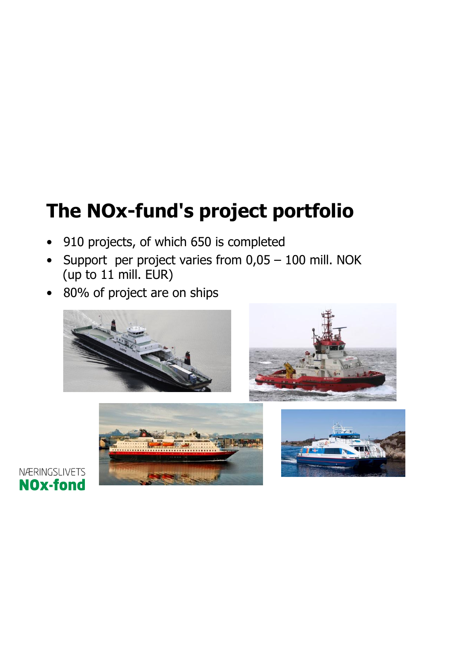## **The NOx-fund's project portfolio**

- 910 projects, of which 650 is completed
- Support per project varies from 0,05 100 mill. NOK (up to 11 mill. EUR)
- 80% of project are on ships







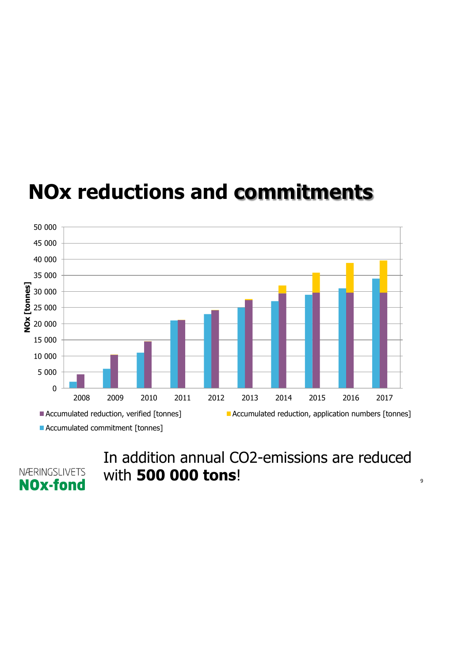

### **NOx reductions and commitments**

NÆRINGSLIVETS **NOx-fond** 

In addition annual CO2-emissions are reduced with **500 000 tons**!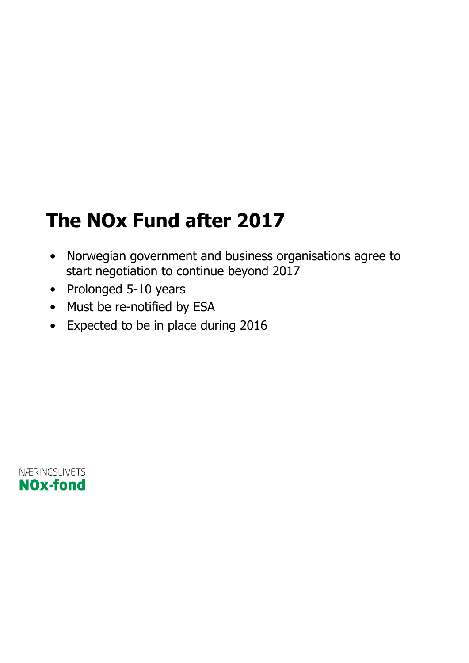### **The NOx Fund after 2017**

- Norwegian government and business organisations agree to start negotiation to continue beyond 2017
- Prolonged 5-10 years
- Must be re-notified by ESA
- Expected to be in place during 2016

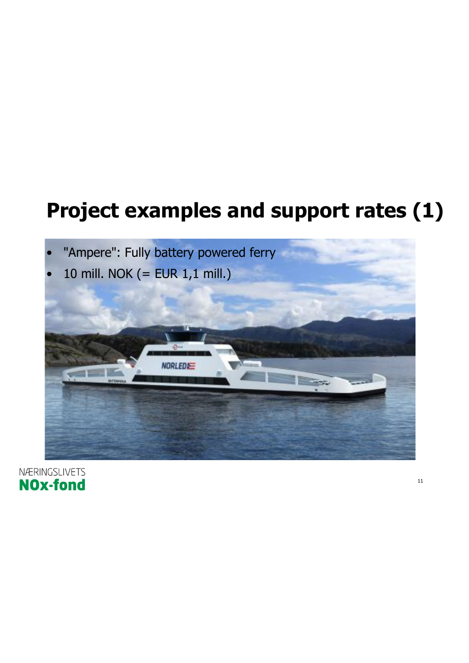### **Project examples and support rates (1)**



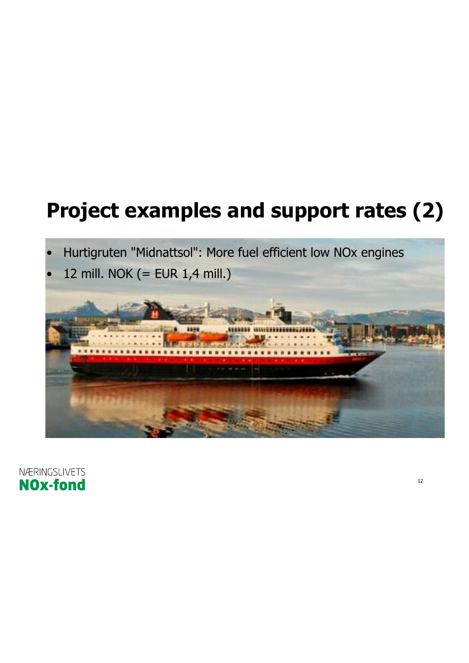## **Project examples and support rates (2)**

- Hurtigruten "Midnattsol": More fuel efficient low NOx engines
- 12 mill. NOK (= EUR 1,4 mill.)



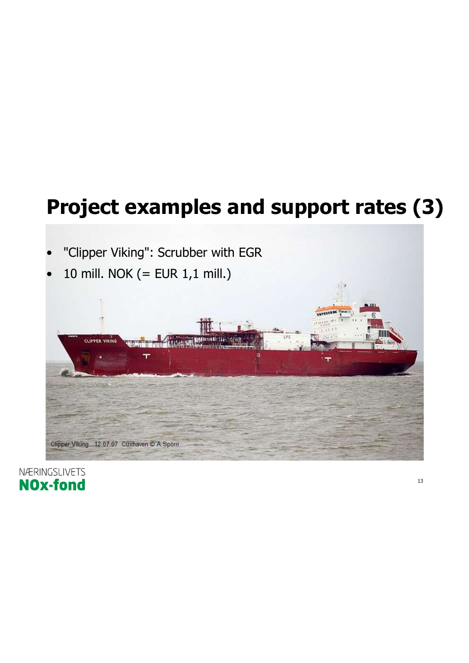## **Project examples and support rates (3)**

"Clipper Viking": Scrubber with EGR • 10 mill. NOK (= EUR 1,1 mill.) **CLIPPER VIKING** 

NÆRINGSLIVETS **NOx-fond** 

Clipper Viking 12 07 07 Cuxhaven @ A.Spörri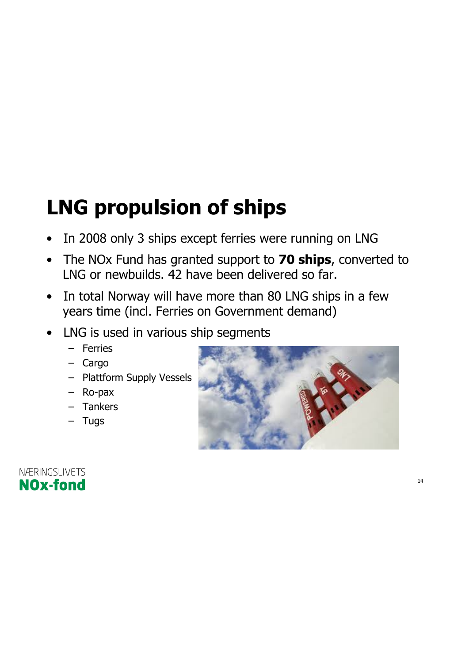## **LNG propulsion of ships**

- In 2008 only 3 ships except ferries were running on LNG
- The NOx Fund has granted support to **70 ships**, converted to LNG or newbuilds. 42 have been delivered so far.
- In total Norway will have more than 80 LNG ships in a few years time (incl. Ferries on Government demand)
- LNG is used in various ship segments
	- Ferries
	- Cargo
	- Plattform Supply Vessels
	- Ro-pax
	- Tankers
	- Tugs



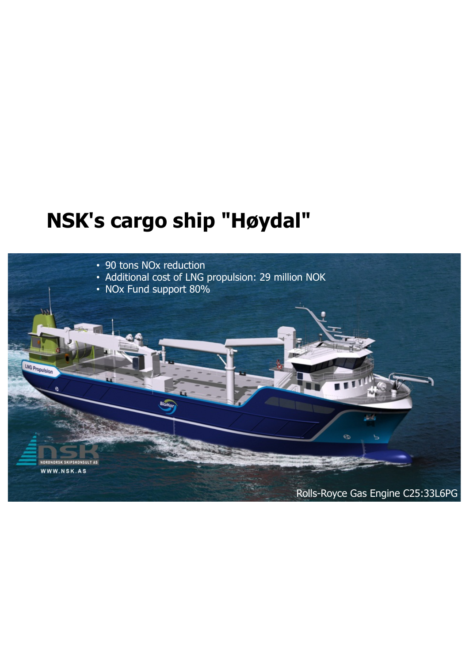#### **NSK's cargo ship "Høydal"**

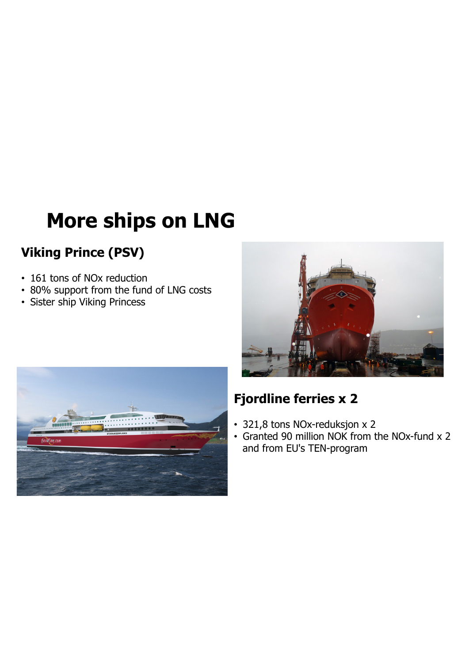## **More ships on LNG**

#### **Viking Prince (PSV)**

- 161 tons of NOx reduction
- 80% support from the fund of LNG costs
- Sister ship Viking Princess





#### **Fjordline ferries x 2**

- 321,8 tons NOx-reduksjon x 2
- Granted 90 million NOK from the NOx-fund x 2 and from EU's TEN-program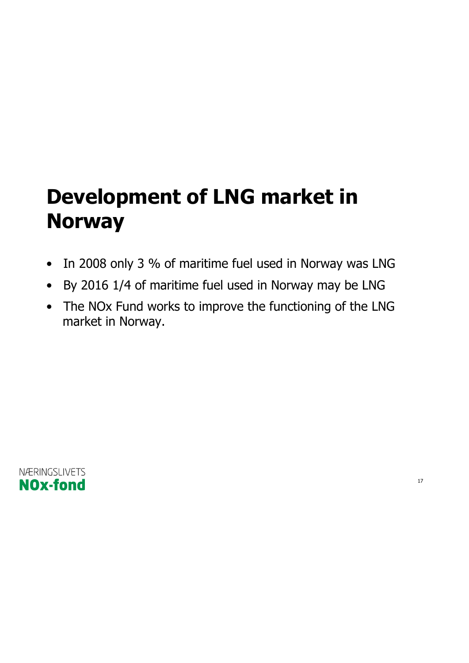## **Development of LNG market in Norway**

- In 2008 only 3 % of maritime fuel used in Norway was LNG
- By 2016 1/4 of maritime fuel used in Norway may be LNG
- The NOx Fund works to improve the functioning of the LNG market in Norway.

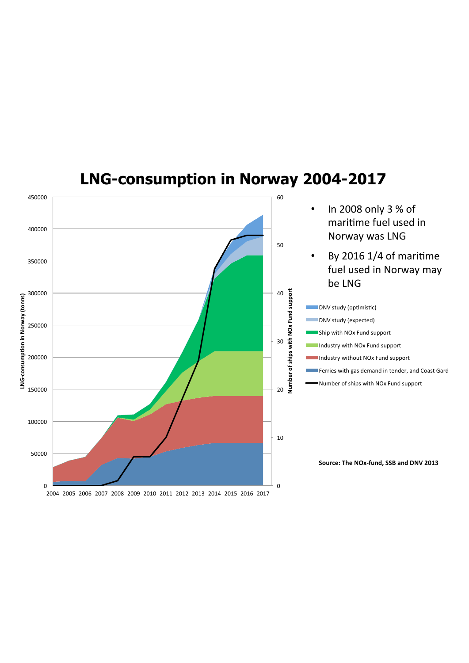

#### **LNG-consumption in Norway 2004-2017**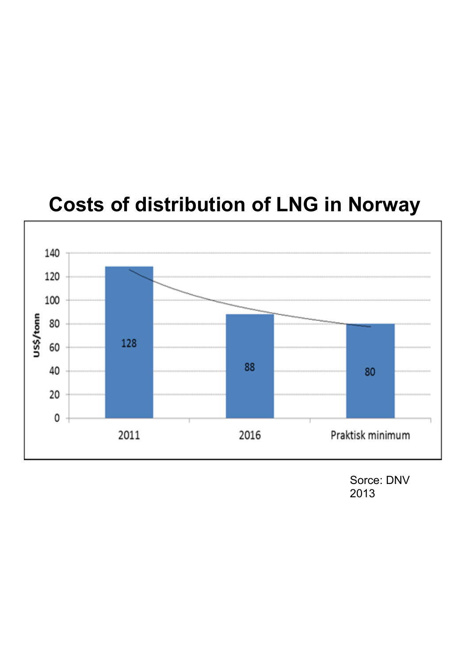

**Costs of distribution of LNG in Norway** 

Sorce: DNV 2013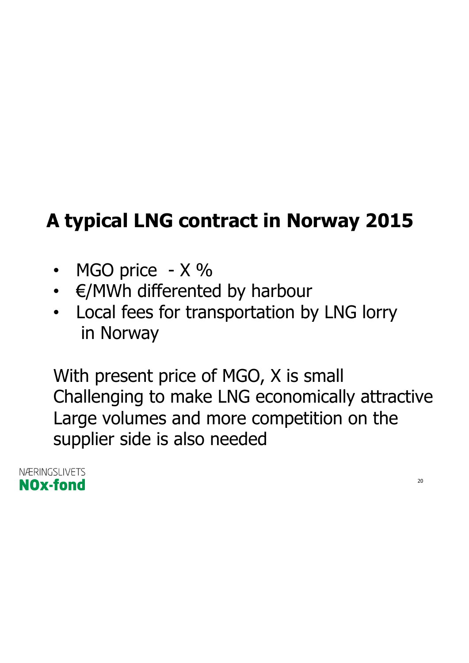## **A typical LNG contract in Norway 2015**

- MGO price X %
- €/MWh differented by harbour
- Local fees for transportation by LNG lorry in Norway

With present price of MGO, X is small Challenging to make LNG economically attractive Large volumes and more competition on the supplier side is also needed

NÆRINGSLIVETS **NOx-fond**